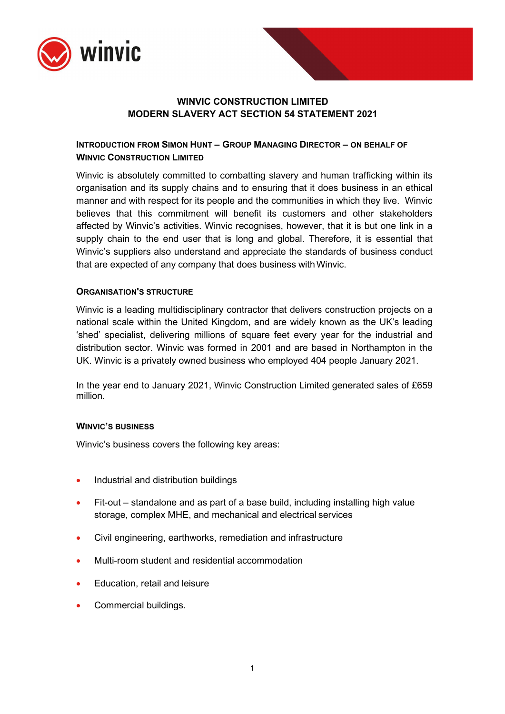

# **WINVIC CONSTRUCTION LIMITED MODERN SLAVERY ACT SECTION 54 STATEMENT 2021**

## **INTRODUCTION FROM SIMON HUNT – GROUP MANAGING DIRECTOR – ON BEHALF OF WINVIC CONSTRUCTION LIMITED**

Winvic is absolutely committed to combatting slavery and human trafficking within its organisation and its supply chains and to ensuring that it does business in an ethical manner and with respect for its people and the communities in which they live. Winvic believes that this commitment will benefit its customers and other stakeholders affected by Winvic's activities. Winvic recognises, however, that it is but one link in a supply chain to the end user that is long and global. Therefore, it is essential that Winvic's suppliers also understand and appreciate the standards of business conduct that are expected of any company that does business withWinvic.

### **ORGANISATION'S STRUCTURE**

Winvic is a leading multidisciplinary contractor that delivers construction projects on a national scale within the United Kingdom, and are widely known as the UK's leading 'shed' specialist, delivering millions of square feet every year for the industrial and distribution sector. Winvic was formed in 2001 and are based in Northampton in the UK. Winvic is a privately owned business who employed 404 people January 2021.

In the year end to January 2021, Winvic Construction Limited generated sales of £659 million.

#### **WINVIC'S BUSINESS**

Winvic's business covers the following key areas:

- Industrial and distribution buildings
- Fit-out standalone and as part of a base build, including installing high value storage, complex MHE, and mechanical and electrical services
- Civil engineering, earthworks, remediation and infrastructure
- Multi-room student and residential accommodation
- Education, retail and leisure
- Commercial buildings.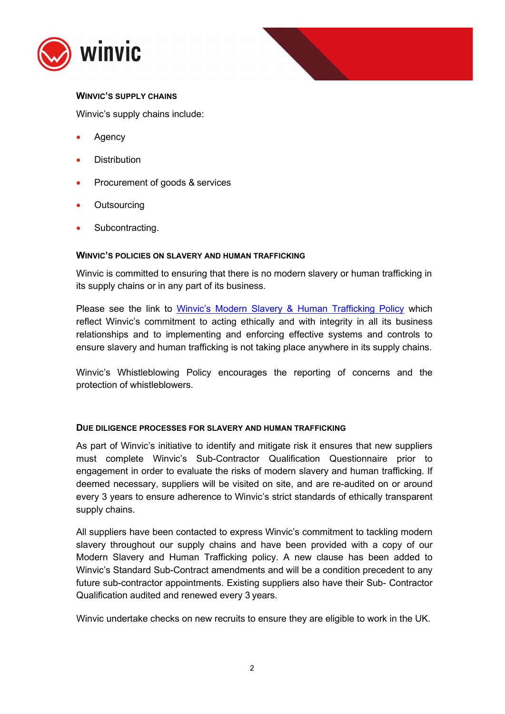



## **WINVIC'S SUPPLY CHAINS**

Winvic's supply chains include:

- Agency
- **Distribution**
- Procurement of goods & services
- **Outsourcing**
- Subcontracting.

### **WINVIC'S POLICIES ON SLAVERY AND HUMAN TRAFFICKING**

Winvic is committed to ensuring that there is no modern slavery or human trafficking in its supply chains or in any part of its business.

Please see the link to [Winvic's Modern Slavery & Human Trafficking Policy](https://www.winvic.co.uk/wp-content/uploads/2022/04/MS01-Modern-Slavery-Human-Trafficking-Policy-2022.pdf) which reflect Winvic's commitment to acting ethically and with integrity in all its business relationships and to implementing and enforcing effective systems and controls to ensure slavery and human trafficking is not taking place anywhere in its supply chains.

Winvic's Whistleblowing Policy encourages the reporting of concerns and the protection of whistleblowers.

### **DUE DILIGENCE PROCESSES FOR SLAVERY AND HUMAN TRAFFICKING**

As part of Winvic's initiative to identify and mitigate risk it ensures that new suppliers must complete Winvic's Sub-Contractor Qualification Questionnaire prior to engagement in order to evaluate the risks of modern slavery and human trafficking. If deemed necessary, suppliers will be visited on site, and are re-audited on or around every 3 years to ensure adherence to Winvic's strict standards of ethically transparent supply chains.

All suppliers have been contacted to express Winvic's commitment to tackling modern slavery throughout our supply chains and have been provided with a copy of our Modern Slavery and Human Trafficking policy. A new clause has been added to Winvic's Standard Sub-Contract amendments and will be a condition precedent to any future sub-contractor appointments. Existing suppliers also have their Sub- Contractor Qualification audited and renewed every 3 years.

Winvic undertake checks on new recruits to ensure they are eligible to work in the UK.